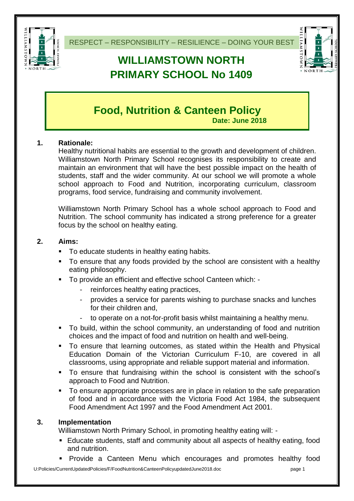

RESPECT – RESPONSIBILITY – RESILIENCE – DOING YOUR BEST

# **WILLIAMSTOWN NORTH PRIMARY SCHOOL No 1409**



# **Food, Nutrition & Canteen Policy**

**Date: June 2018**

# **1. Rationale:**

Healthy nutritional habits are essential to the growth and development of children. Williamstown North Primary School recognises its responsibility to create and maintain an environment that will have the best possible impact on the health of students, staff and the wider community. At our school we will promote a whole school approach to Food and Nutrition, incorporating curriculum, classroom programs, food service, fundraising and community involvement.

Williamstown North Primary School has a whole school approach to Food and Nutrition. The school community has indicated a strong preference for a greater focus by the school on healthy eating.

# **2. Aims:**

- To educate students in healthy eating habits.
- To ensure that any foods provided by the school are consistent with a healthy eating philosophy.
- To provide an efficient and effective school Canteen which:
	- reinforces healthy eating practices,
	- provides a service for parents wishing to purchase snacks and lunches for their children and,
	- to operate on a not-for-profit basis whilst maintaining a healthy menu.
- To build, within the school community, an understanding of food and nutrition choices and the impact of food and nutrition on health and well-being.
- To ensure that learning outcomes, as stated within the Health and Physical Education Domain of the Victorian Curriculum F-10, are covered in all classrooms, using appropriate and reliable support material and information.
- To ensure that fundraising within the school is consistent with the school's approach to Food and Nutrition.
- To ensure appropriate processes are in place in relation to the safe preparation of food and in accordance with the Victoria Food Act 1984, the subsequent Food Amendment Act 1997 and the Food Amendment Act 2001.

# **3. Implementation**

Williamstown North Primary School, in promoting healthy eating will: -

- Educate students, staff and community about all aspects of healthy eating, food and nutrition.
- Provide a Canteen Menu which encourages and promotes healthy food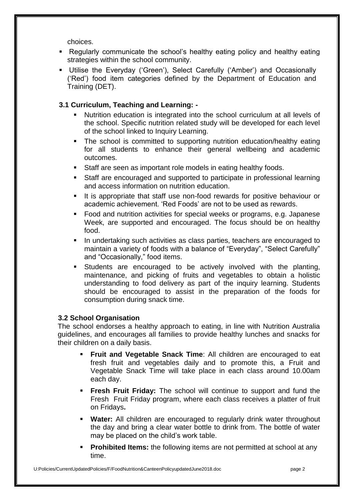choices.

- Regularly communicate the school's healthy eating policy and healthy eating strategies within the school community.
- Utilise the Everyday ('Green'), Select Carefully ('Amber') and Occasionally ('Red') food item categories defined by the Department of Education and Training (DET).

# **3.1 Curriculum, Teaching and Learning: -**

- Nutrition education is integrated into the school curriculum at all levels of the school. Specific nutrition related study will be developed for each level of the school linked to Inquiry Learning.
- The school is committed to supporting nutrition education/healthy eating for all students to enhance their general wellbeing and academic outcomes.
- Staff are seen as important role models in eating healthy foods.
- Staff are encouraged and supported to participate in professional learning and access information on nutrition education.
- It is appropriate that staff use non-food rewards for positive behaviour or academic achievement. 'Red Foods' are not to be used as rewards.
- Food and nutrition activities for special weeks or programs, e.g. Japanese Week, are supported and encouraged. The focus should be on healthy food.
- In undertaking such activities as class parties, teachers are encouraged to maintain a variety of foods with a balance of "Everyday", "Select Carefully" and "Occasionally," food items.
- Students are encouraged to be actively involved with the planting, maintenance, and picking of fruits and vegetables to obtain a holistic understanding to food delivery as part of the inquiry learning. Students should be encouraged to assist in the preparation of the foods for consumption during snack time.

### **3.2 School Organisation**

The school endorses a healthy approach to eating, in line with Nutrition Australia guidelines, and encourages all families to provide healthy lunches and snacks for their children on a daily basis.

- **Fruit and Vegetable Snack Time**: All children are encouraged to eat fresh fruit and vegetables daily and to promote this, a Fruit and Vegetable Snack Time will take place in each class around 10.00am each day.
- **Fresh Fruit Friday:** The school will continue to support and fund the Fresh Fruit Friday program, where each class receives a platter of fruit on Fridays**.**
- **Water:** All children are encouraged to regularly drink water throughout the day and bring a clear water bottle to drink from. The bottle of water may be placed on the child's work table.
- **Prohibited Items:** the following items are not permitted at school at any time.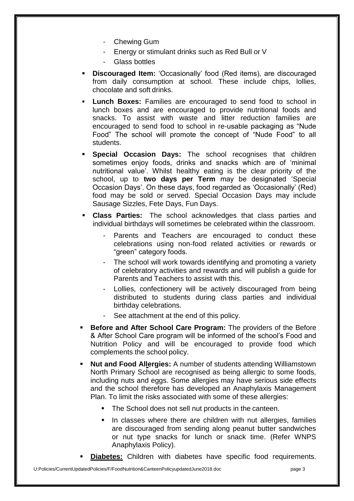- Chewing Gum
- Energy or stimulant drinks such as Red Bull or V
- Glass bottles
- **Discouraged Item:** 'Occasionally' food (Red items), are discouraged from daily consumption at school. These include chips, lollies, chocolate and soft drinks.
- **Lunch Boxes:** Families are encouraged to send food to school in lunch boxes and are encouraged to provide nutritional foods and snacks. To assist with waste and litter reduction families are encouraged to send food to school in re-usable packaging as "Nude Food" The school will promote the concept of "Nude Food" to all students.
- **Special Occasion Days:** The school recognises that children sometimes enjoy foods, drinks and snacks which are of 'minimal nutritional value'. Whilst healthy eating is the clear priority of the school, up to **two days per Term** may be designated 'Special Occasion Days'. On these days, food regarded as 'Occasionally' (Red) food may be sold or served. Special Occasion Days may include Sausage Sizzles, Fete Days, Fun Days.
- **Class Parties:** The school acknowledges that class parties and individual birthdays will sometimes be celebrated within the classroom.
	- Parents and Teachers are encouraged to conduct these celebrations using non-food related activities or rewards or "green" category foods.
	- The school will work towards identifying and promoting a variety of celebratory activities and rewards and will publish a guide for Parents and Teachers to assist with this.
	- Lollies, confectionery will be actively discouraged from being distributed to students during class parties and individual birthday celebrations.
	- See attachment at the end of this policy.
- **Before and After School Care Program:** The providers of the Before & After School Care program will be informed of the school's Food and Nutrition Policy and will be encouraged to provide food which complements the school policy.
- **Nut and Food Allergies:** A number of students attending Williamstown North Primary School are recognised as being allergic to some foods, including nuts and eggs. Some allergies may have serious side effects and the school therefore has developed an Anaphylaxis Management Plan. To limit the risks associated with some of these allergies:
	- The School does not sell nut products in the canteen.
	- **IF** In classes where there are children with nut allergies, families are discouraged from sending along peanut butter sandwiches or nut type snacks for lunch or snack time. (Refer WNPS Anaphylaxis Policy).
- **Diabetes:** Children with diabetes have specific food requirements.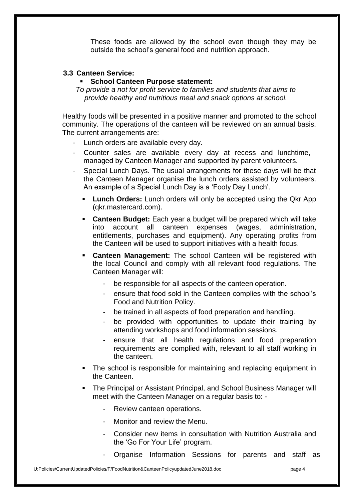These foods are allowed by the school even though they may be outside the school's general food and nutrition approach.

#### **3.3 Canteen Service:**

#### **School Canteen Purpose statement:**

*To provide a not for profit service to families and students that aims to provide healthy and nutritious meal and snack options at school.*

Healthy foods will be presented in a positive manner and promoted to the school community. The operations of the canteen will be reviewed on an annual basis. The current arrangements are:

- Lunch orders are available every day.
- Counter sales are available every day at recess and lunchtime, managed by Canteen Manager and supported by parent volunteers.
- Special Lunch Days. The usual arrangements for these days will be that the Canteen Manager organise the lunch orders assisted by volunteers. An example of a Special Lunch Day is a 'Footy Day Lunch'.
	- **Lunch Orders:** Lunch orders will only be accepted using the Qkr App (qkr.mastercard.com).
	- **Canteen Budget:** Each year a budget will be prepared which will take into account all canteen expenses (wages, administration, entitlements, purchases and equipment). Any operating profits from the Canteen will be used to support initiatives with a health focus.
	- **Canteen Management:** The school Canteen will be registered with the local Council and comply with all relevant food regulations. The Canteen Manager will:
		- be responsible for all aspects of the canteen operation.
		- ensure that food sold in the Canteen complies with the school's Food and Nutrition Policy.
		- be trained in all aspects of food preparation and handling.
		- be provided with opportunities to update their training by attending workshops and food information sessions.
		- ensure that all health regulations and food preparation requirements are complied with, relevant to all staff working in the canteen.
	- The school is responsible for maintaining and replacing equipment in the Canteen.
	- The Principal or Assistant Principal, and School Business Manager will meet with the Canteen Manager on a regular basis to: -
		- Review canteen operations.
		- Monitor and review the Menu
		- Consider new items in consultation with Nutrition Australia and the 'Go For Your Life' program.
		- Organise Information Sessions for parents and staff as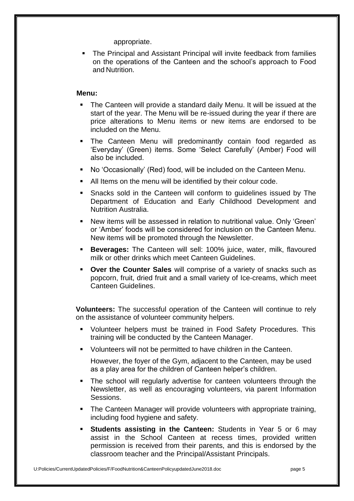appropriate.

 The Principal and Assistant Principal will invite feedback from families on the operations of the Canteen and the school's approach to Food and Nutrition.

#### **Menu:**

- The Canteen will provide a standard daily Menu. It will be issued at the start of the year. The Menu will be re-issued during the year if there are price alterations to Menu items or new items are endorsed to be included on the Menu.
- The Canteen Menu will predominantly contain food regarded as 'Everyday' (Green) items. Some 'Select Carefully' (Amber) Food will also be included.
- No 'Occasionally' (Red) food, will be included on the Canteen Menu.
- All Items on the menu will be identified by their colour code.
- **Snacks sold in the Canteen will conform to quidelines issued by The** Department of Education and Early Childhood Development and Nutrition Australia.
- New items will be assessed in relation to nutritional value. Only 'Green' or 'Amber' foods will be considered for inclusion on the Canteen Menu. New items will be promoted through the Newsletter.
- **Beverages:** The Canteen will sell: 100% juice, water, milk, flavoured milk or other drinks which meet Canteen Guidelines.
- **Over the Counter Sales** will comprise of a variety of snacks such as popcorn, fruit, dried fruit and a small variety of Ice-creams, which meet Canteen Guidelines.

**Volunteers:** The successful operation of the Canteen will continue to rely on the assistance of volunteer community helpers.

- Volunteer helpers must be trained in Food Safety Procedures. This training will be conducted by the Canteen Manager.
- **U** Volunteers will not be permitted to have children in the Canteen.

However, the foyer of the Gym, adjacent to the Canteen, may be used as a play area for the children of Canteen helper's children.

- The school will regularly advertise for canteen volunteers through the Newsletter, as well as encouraging volunteers, via parent Information Sessions.
- The Canteen Manager will provide volunteers with appropriate training, including food hygiene and safety.
- **Students assisting in the Canteen:** Students in Year 5 or 6 may assist in the School Canteen at recess times, provided written permission is received from their parents, and this is endorsed by the classroom teacher and the Principal/Assistant Principals.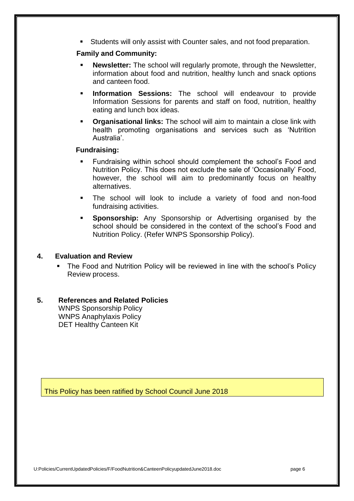Students will only assist with Counter sales, and not food preparation.

### **Family and Community:**

- **Newsletter:** The school will regularly promote, through the Newsletter, information about food and nutrition, healthy lunch and snack options and canteen food.
- **Information Sessions:** The school will endeavour to provide Information Sessions for parents and staff on food, nutrition, healthy eating and lunch box ideas.
- **Crganisational links:** The school will aim to maintain a close link with health promoting organisations and services such as 'Nutrition Australia'.

### **Fundraising:**

- Fundraising within school should complement the school's Food and Nutrition Policy. This does not exclude the sale of 'Occasionally' Food, however, the school will aim to predominantly focus on healthy alternatives.
- The school will look to include a variety of food and non-food fundraising activities.
- **Sponsorship:** Any Sponsorship or Advertising organised by the school should be considered in the context of the school's Food and Nutrition Policy. (Refer WNPS Sponsorship Policy).

#### **4. Evaluation and Review**

• The Food and Nutrition Policy will be reviewed in line with the school's Policy Review process.

#### **5. References and Related Policies** WNPS Sponsorship Policy WNPS Anaphylaxis Policy DET Healthy Canteen Kit

This Policy has been ratified by School Council June 2018